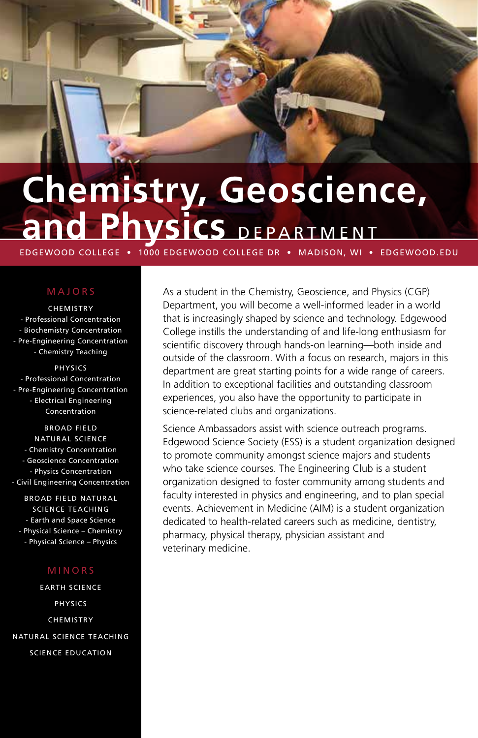# **Chemistry, Geoscience, and Physics** DEPARTMENT

EDGEWOOD COLLEGE • 1000 EDGEWOOD COLLEGE DR • MADISON, WI • EDGEWOOD.EDU

## MAJORS

**CHEMISTRY** - Professional Concentration - Biochemistry Concentration - Pre-Engineering Concentration - Chemistry Teaching

PHYSICS - Professional Concentration - Pre-Engineering Concentration - Electrical Engineering Concentration

BROAD FIELD NATURAL SCIENCE - Chemistry Concentration - Geoscience Concentration - Physics Concentration - Civil Engineering Concentration

BROAD FIELD NATURAL SCIENCE TEACHING - Earth and Space Science - Physical Science – Chemistry - Physical Science – Physics

## MINORS

EARTH SCIENCE PHYSICS CHEMISTRY NATURAL SCIENCE TEACHING SCIENCE EDUCATION

As a student in the Chemistry, Geoscience, and Physics (CGP) Department, you will become a well-informed leader in a world that is increasingly shaped by science and technology. Edgewood College instills the understanding of and life-long enthusiasm for scientific discovery through hands-on learning—both inside and outside of the classroom. With a focus on research, majors in this department are great starting points for a wide range of careers. In addition to exceptional facilities and outstanding classroom experiences, you also have the opportunity to participate in science-related clubs and organizations.

Science Ambassadors assist with science outreach programs. Edgewood Science Society (ESS) is a student organization designed to promote community amongst science majors and students who take science courses. The Engineering Club is a student organization designed to foster community among students and faculty interested in physics and engineering, and to plan special events. Achievement in Medicine (AIM) is a student organization dedicated to health-related careers such as medicine, dentistry, pharmacy, physical therapy, physician assistant and veterinary medicine.